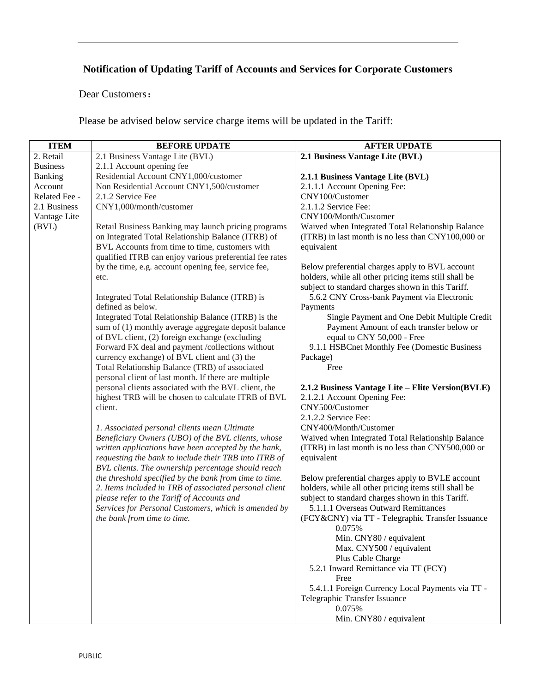## **Notification of Updating Tariff of Accounts and Services for Corporate Customers**

Dear Customers:

Please be advised below service charge items will be updated in the Tariff:

| <b>ITEM</b>     | <b>BEFORE UPDATE</b>                                                                                      | <b>AFTER UPDATE</b>                                                                                     |
|-----------------|-----------------------------------------------------------------------------------------------------------|---------------------------------------------------------------------------------------------------------|
| 2. Retail       | 2.1 Business Vantage Lite (BVL)                                                                           | 2.1 Business Vantage Lite (BVL)                                                                         |
| <b>Business</b> | 2.1.1 Account opening fee                                                                                 |                                                                                                         |
| Banking         | Residential Account CNY1,000/customer                                                                     | 2.1.1 Business Vantage Lite (BVL)                                                                       |
| Account         | Non Residential Account CNY1,500/customer                                                                 | 2.1.1.1 Account Opening Fee:                                                                            |
| Related Fee -   | 2.1.2 Service Fee                                                                                         | CNY100/Customer                                                                                         |
| 2.1 Business    | CNY1,000/month/customer                                                                                   | 2.1.1.2 Service Fee:                                                                                    |
| Vantage Lite    |                                                                                                           | CNY100/Month/Customer                                                                                   |
| (BVL)           | Retail Business Banking may launch pricing programs<br>on Integrated Total Relationship Balance (ITRB) of | Waived when Integrated Total Relationship Balance<br>(ITRB) in last month is no less than CNY100,000 or |
|                 | BVL Accounts from time to time, customers with                                                            | equivalent                                                                                              |
|                 | qualified ITRB can enjoy various preferential fee rates                                                   |                                                                                                         |
|                 | by the time, e.g. account opening fee, service fee,                                                       | Below preferential charges apply to BVL account                                                         |
|                 | etc.                                                                                                      | holders, while all other pricing items still shall be                                                   |
|                 |                                                                                                           | subject to standard charges shown in this Tariff.                                                       |
|                 | Integrated Total Relationship Balance (ITRB) is                                                           | 5.6.2 CNY Cross-bank Payment via Electronic                                                             |
|                 | defined as below.                                                                                         | Payments                                                                                                |
|                 | Integrated Total Relationship Balance (ITRB) is the                                                       | Single Payment and One Debit Multiple Credit                                                            |
|                 | sum of (1) monthly average aggregate deposit balance                                                      | Payment Amount of each transfer below or                                                                |
|                 | of BVL client, (2) foreign exchange (excluding                                                            | equal to CNY 50,000 - Free                                                                              |
|                 | Forward FX deal and payment /collections without                                                          | 9.1.1 HSBCnet Monthly Fee (Domestic Business                                                            |
|                 | currency exchange) of BVL client and (3) the                                                              | Package)                                                                                                |
|                 | Total Relationship Balance (TRB) of associated                                                            | Free                                                                                                    |
|                 | personal client of last month. If there are multiple                                                      |                                                                                                         |
|                 | personal clients associated with the BVL client, the                                                      | 2.1.2 Business Vantage Lite - Elite Version(BVLE)                                                       |
|                 | highest TRB will be chosen to calculate ITRB of BVL                                                       | 2.1.2.1 Account Opening Fee:                                                                            |
|                 | client.                                                                                                   | CNY500/Customer                                                                                         |
|                 |                                                                                                           | 2.1.2.2 Service Fee:                                                                                    |
|                 | 1. Associated personal clients mean Ultimate                                                              | CNY400/Month/Customer                                                                                   |
|                 | Beneficiary Owners (UBO) of the BVL clients, whose                                                        | Waived when Integrated Total Relationship Balance                                                       |
|                 | written applications have been accepted by the bank,                                                      | (ITRB) in last month is no less than CNY500,000 or                                                      |
|                 | requesting the bank to include their TRB into ITRB of                                                     | equivalent                                                                                              |
|                 | BVL clients. The ownership percentage should reach                                                        |                                                                                                         |
|                 | the threshold specified by the bank from time to time.                                                    | Below preferential charges apply to BVLE account                                                        |
|                 | 2. Items included in TRB of associated personal client                                                    | holders, while all other pricing items still shall be                                                   |
|                 | please refer to the Tariff of Accounts and                                                                | subject to standard charges shown in this Tariff.                                                       |
|                 | Services for Personal Customers, which is amended by                                                      | 5.1.1.1 Overseas Outward Remittances                                                                    |
|                 | the bank from time to time.                                                                               | (FCY&CNY) via TT - Telegraphic Transfer Issuance                                                        |
|                 |                                                                                                           | 0.075%                                                                                                  |
|                 |                                                                                                           | Min. CNY80 / equivalent                                                                                 |
|                 |                                                                                                           | Max. CNY500 / equivalent                                                                                |
|                 |                                                                                                           | Plus Cable Charge                                                                                       |
|                 |                                                                                                           | 5.2.1 Inward Remittance via TT (FCY)                                                                    |
|                 |                                                                                                           | Free                                                                                                    |
|                 |                                                                                                           | 5.4.1.1 Foreign Currency Local Payments via TT -                                                        |
|                 |                                                                                                           | Telegraphic Transfer Issuance                                                                           |
|                 |                                                                                                           | 0.075%                                                                                                  |
|                 |                                                                                                           | Min. CNY80 / equivalent                                                                                 |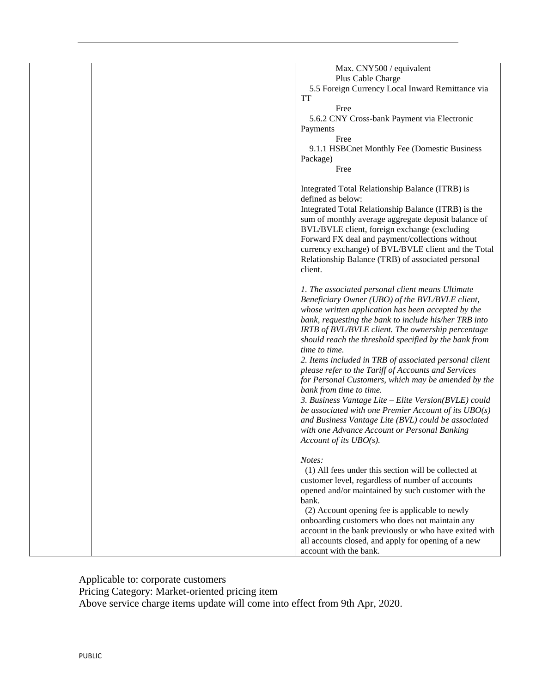| Max. CNY500 / equivalent                                             |
|----------------------------------------------------------------------|
| Plus Cable Charge                                                    |
| 5.5 Foreign Currency Local Inward Remittance via                     |
| TT                                                                   |
| Free                                                                 |
| 5.6.2 CNY Cross-bank Payment via Electronic                          |
| Payments                                                             |
| Free                                                                 |
| 9.1.1 HSBCnet Monthly Fee (Domestic Business                         |
| Package)                                                             |
| Free                                                                 |
|                                                                      |
|                                                                      |
| Integrated Total Relationship Balance (ITRB) is<br>defined as below: |
|                                                                      |
| Integrated Total Relationship Balance (ITRB) is the                  |
| sum of monthly average aggregate deposit balance of                  |
| BVL/BVLE client, foreign exchange (excluding                         |
| Forward FX deal and payment/collections without                      |
| currency exchange) of BVL/BVLE client and the Total                  |
| Relationship Balance (TRB) of associated personal                    |
| client.                                                              |
|                                                                      |
| 1. The associated personal client means Ultimate                     |
| Beneficiary Owner (UBO) of the BVL/BVLE client,                      |
| whose written application has been accepted by the                   |
| bank, requesting the bank to include his/her TRB into                |
| IRTB of BVL/BVLE client. The ownership percentage                    |
| should reach the threshold specified by the bank from                |
| time to time.                                                        |
| 2. Items included in TRB of associated personal client               |
| please refer to the Tariff of Accounts and Services                  |
| for Personal Customers, which may be amended by the                  |
| bank from time to time.                                              |
| 3. Business Vantage Lite - Elite Version(BVLE) could                 |
| be associated with one Premier Account of its $UBO(s)$               |
| and Business Vantage Lite (BVL) could be associated                  |
|                                                                      |
| with one Advance Account or Personal Banking                         |
| Account of its $UBO(s)$ .                                            |
| Notes:                                                               |
|                                                                      |
| (1) All fees under this section will be collected at                 |
| customer level, regardless of number of accounts                     |
| opened and/or maintained by such customer with the                   |
| bank.                                                                |
| (2) Account opening fee is applicable to newly                       |
| onboarding customers who does not maintain any                       |
| account in the bank previously or who have exited with               |
| all accounts closed, and apply for opening of a new                  |
| account with the bank.                                               |

Applicable to: corporate customers

Pricing Category: Market-oriented pricing item

Above service charge items update will come into effect from 9th Apr, 2020.